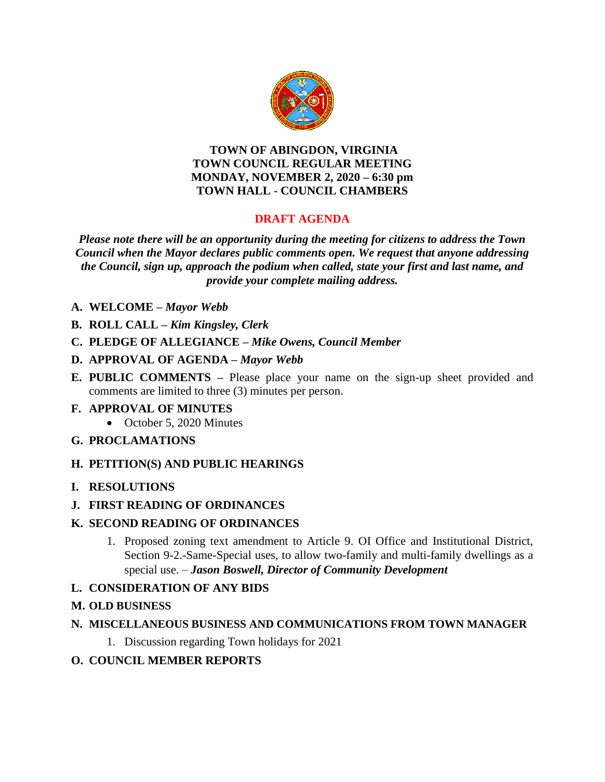

### **TOWN OF ABINGDON, VIRGINIA TOWN COUNCIL REGULAR MEETING MONDAY, NOVEMBER 2, 2020 – 6:30 pm TOWN HALL - COUNCIL CHAMBERS**

# **DRAFT AGENDA**

*Please note there will be an opportunity during the meeting for citizens to address the Town Council when the Mayor declares public comments open. We request that anyone addressing the Council, sign up, approach the podium when called, state your first and last name, and provide your complete mailing address.*

- **A. WELCOME –** *Mayor Webb*
- **B. ROLL CALL –** *Kim Kingsley, Clerk*
- **C. PLEDGE OF ALLEGIANCE –** *Mike Owens, Council Member*
- **D. APPROVAL OF AGENDA –** *Mayor Webb*
- **E. PUBLIC COMMENTS –** Please place your name on the sign-up sheet provided and comments are limited to three (3) minutes per person.
- **F. APPROVAL OF MINUTES** 
	- October 5, 2020 Minutes
- **G. PROCLAMATIONS**
- **H. PETITION(S) AND PUBLIC HEARINGS**
- **I. RESOLUTIONS**
- **J. FIRST READING OF ORDINANCES**

## **K. SECOND READING OF ORDINANCES**

1. Proposed zoning text amendment to Article 9. OI Office and Institutional District, Section 9-2.-Same-Special uses, to allow two-family and multi-family dwellings as a special use. – *Jason Boswell, Director of Community Development*

## **L. CONSIDERATION OF ANY BIDS**

- **M. OLD BUSINESS**
- **N. MISCELLANEOUS BUSINESS AND COMMUNICATIONS FROM TOWN MANAGER**
	- 1. Discussion regarding Town holidays for 2021
- **O. COUNCIL MEMBER REPORTS**